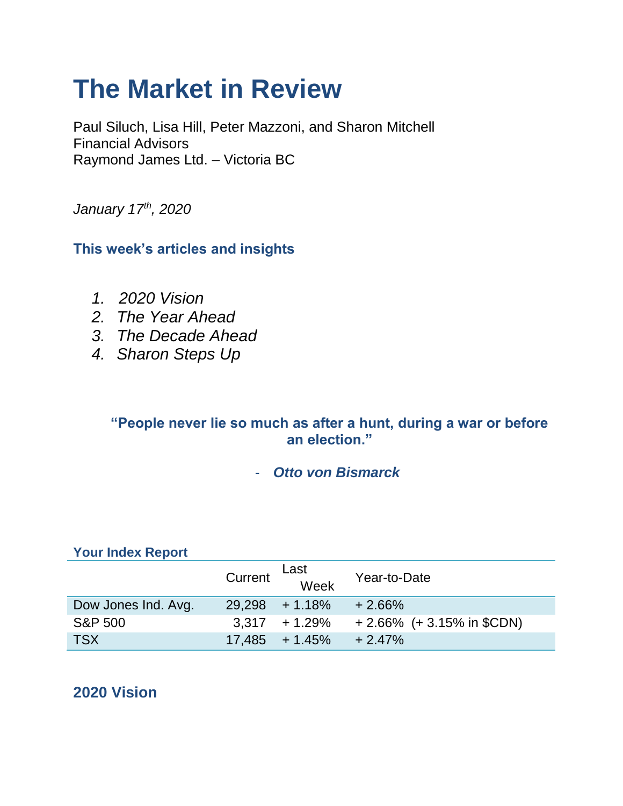# **The Market in Review**

Paul Siluch, Lisa Hill, Peter Mazzoni, and Sharon Mitchell Financial Advisors Raymond James Ltd. – Victoria BC

*January 17th, 2020*

**This week's articles and insights**

- *1. 2020 Vision*
- *2. The Year Ahead*
- *3. The Decade Ahead*
- *4. Sharon Steps Up*

## **"People never lie so much as after a hunt, during a war or before an election."**

- *Otto von Bismarck* 

## **Your Index Report**

|                     | Current | Last<br>Week               | Year-to-Date                 |
|---------------------|---------|----------------------------|------------------------------|
| Dow Jones Ind. Avg. |         | $29.298 + 1.18\%$          | $+2.66%$                     |
| <b>S&amp;P 500</b>  |         | $3.317 + 1.29\%$           | $+2.66\%$ (+ 3.15% in \$CDN) |
| <b>TSX</b>          |         | $17,485 + 1.45\% + 2.47\%$ |                              |

# **2020 Vision**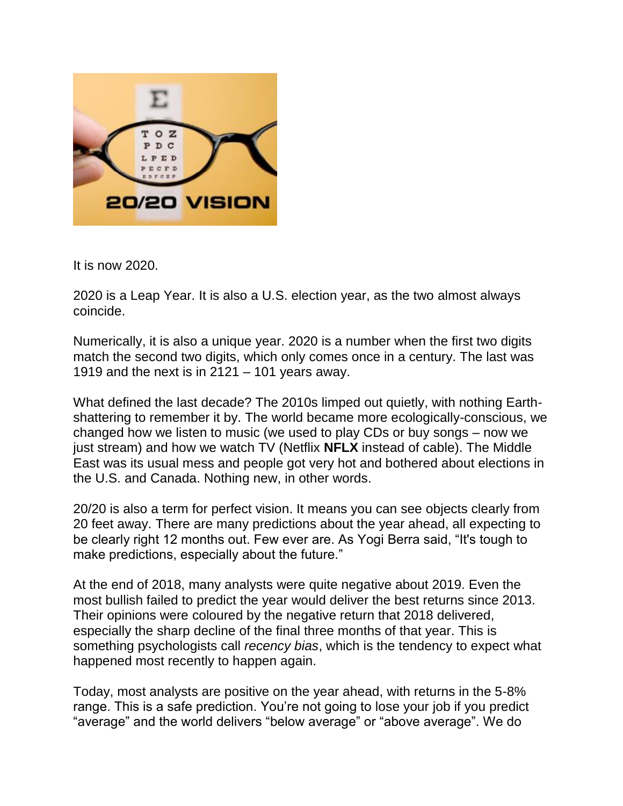

It is now 2020.

2020 is a Leap Year. It is also a U.S. election year, as the two almost always coincide.

Numerically, it is also a unique year. 2020 is a number when the first two digits match the second two digits, which only comes once in a century. The last was 1919 and the next is in  $2121 - 101$  years away.

What defined the last decade? The 2010s limped out quietly, with nothing Earthshattering to remember it by. The world became more ecologically-conscious, we changed how we listen to music (we used to play CDs or buy songs – now we just stream) and how we watch TV (Netflix **NFLX** instead of cable). The Middle East was its usual mess and people got very hot and bothered about elections in the U.S. and Canada. Nothing new, in other words.

20/20 is also a term for perfect vision. It means you can see objects clearly from 20 feet away. There are many predictions about the year ahead, all expecting to be clearly right 12 months out. Few ever are. As Yogi Berra said, "It's tough to make predictions, especially about the future."

At the end of 2018, many analysts were quite negative about 2019. Even the most bullish failed to predict the year would deliver the best returns since 2013. Their opinions were coloured by the negative return that 2018 delivered, especially the sharp decline of the final three months of that year. This is something psychologists call *recency bias*, which is the tendency to expect what happened most recently to happen again.

Today, most analysts are positive on the year ahead, with returns in the 5-8% range. This is a safe prediction. You're not going to lose your job if you predict "average" and the world delivers "below average" or "above average". We do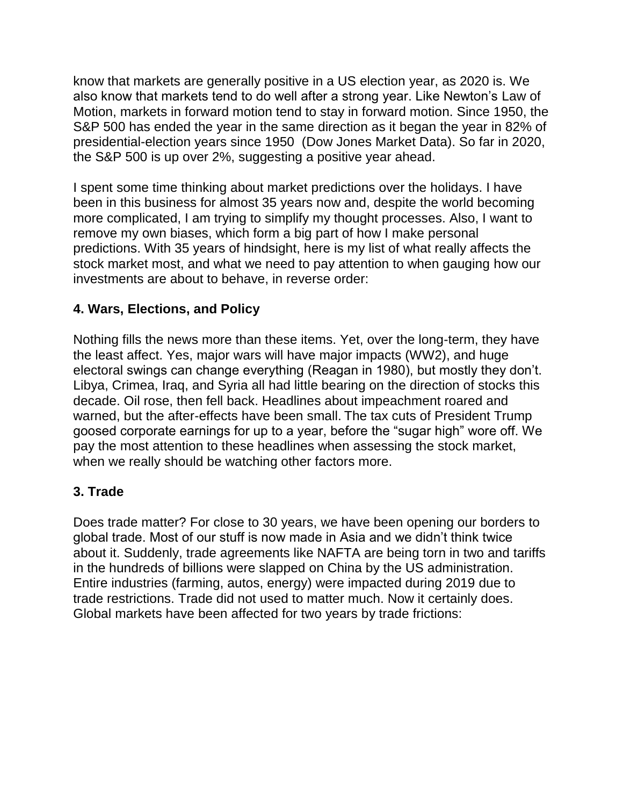know that markets are generally positive in a US election year, as 2020 is. We also know that markets tend to do well after a strong year. Like Newton's Law of Motion, markets in forward motion tend to stay in forward motion. Since 1950, the S&P 500 has ended the year in the same direction as it began the year in 82% of presidential-election years since 1950 (Dow Jones Market Data). So far in 2020, the S&P 500 is up over 2%, suggesting a positive year ahead.

I spent some time thinking about market predictions over the holidays. I have been in this business for almost 35 years now and, despite the world becoming more complicated, I am trying to simplify my thought processes. Also, I want to remove my own biases, which form a big part of how I make personal predictions. With 35 years of hindsight, here is my list of what really affects the stock market most, and what we need to pay attention to when gauging how our investments are about to behave, in reverse order:

## **4. Wars, Elections, and Policy**

Nothing fills the news more than these items. Yet, over the long-term, they have the least affect. Yes, major wars will have major impacts (WW2), and huge electoral swings can change everything (Reagan in 1980), but mostly they don't. Libya, Crimea, Iraq, and Syria all had little bearing on the direction of stocks this decade. Oil rose, then fell back. Headlines about impeachment roared and warned, but the after-effects have been small. The tax cuts of President Trump goosed corporate earnings for up to a year, before the "sugar high" wore off. We pay the most attention to these headlines when assessing the stock market, when we really should be watching other factors more.

## **3. Trade**

Does trade matter? For close to 30 years, we have been opening our borders to global trade. Most of our stuff is now made in Asia and we didn't think twice about it. Suddenly, trade agreements like NAFTA are being torn in two and tariffs in the hundreds of billions were slapped on China by the US administration. Entire industries (farming, autos, energy) were impacted during 2019 due to trade restrictions. Trade did not used to matter much. Now it certainly does. Global markets have been affected for two years by trade frictions: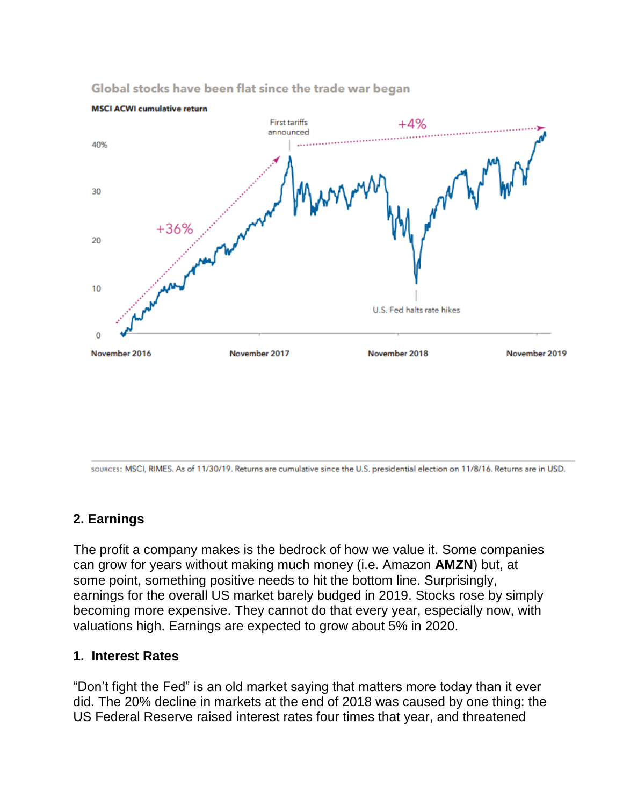

#### Global stocks have been flat since the trade war began

sources: MSCI, RIMES. As of 11/30/19. Returns are cumulative since the U.S. presidential election on 11/8/16. Returns are in USD.

## **2. Earnings**

The profit a company makes is the bedrock of how we value it. Some companies can grow for years without making much money (i.e. Amazon **AMZN**) but, at some point, something positive needs to hit the bottom line. Surprisingly, earnings for the overall US market barely budged in 2019. Stocks rose by simply becoming more expensive. They cannot do that every year, especially now, with valuations high. Earnings are expected to grow about 5% in 2020.

#### **1. Interest Rates**

"Don't fight the Fed" is an old market saying that matters more today than it ever did. The 20% decline in markets at the end of 2018 was caused by one thing: the US Federal Reserve raised interest rates four times that year, and threatened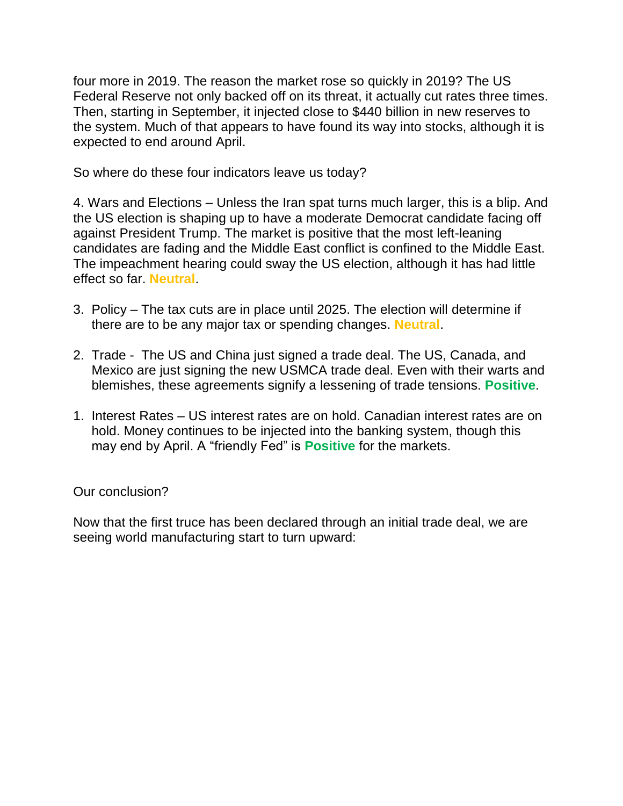four more in 2019. The reason the market rose so quickly in 2019? The US Federal Reserve not only backed off on its threat, it actually cut rates three times. Then, starting in September, it injected close to \$440 billion in new reserves to the system. Much of that appears to have found its way into stocks, although it is expected to end around April.

So where do these four indicators leave us today?

4. Wars and Elections – Unless the Iran spat turns much larger, this is a blip. And the US election is shaping up to have a moderate Democrat candidate facing off against President Trump. The market is positive that the most left-leaning candidates are fading and the Middle East conflict is confined to the Middle East. The impeachment hearing could sway the US election, although it has had little effect so far. **Neutral**.

- 3. Policy The tax cuts are in place until 2025. The election will determine if there are to be any major tax or spending changes. **Neutral**.
- 2. Trade The US and China just signed a trade deal. The US, Canada, and Mexico are just signing the new USMCA trade deal. Even with their warts and blemishes, these agreements signify a lessening of trade tensions. **Positive**.
- 1. Interest Rates US interest rates are on hold. Canadian interest rates are on hold. Money continues to be injected into the banking system, though this may end by April. A "friendly Fed" is **Positive** for the markets.

## Our conclusion?

Now that the first truce has been declared through an initial trade deal, we are seeing world manufacturing start to turn upward: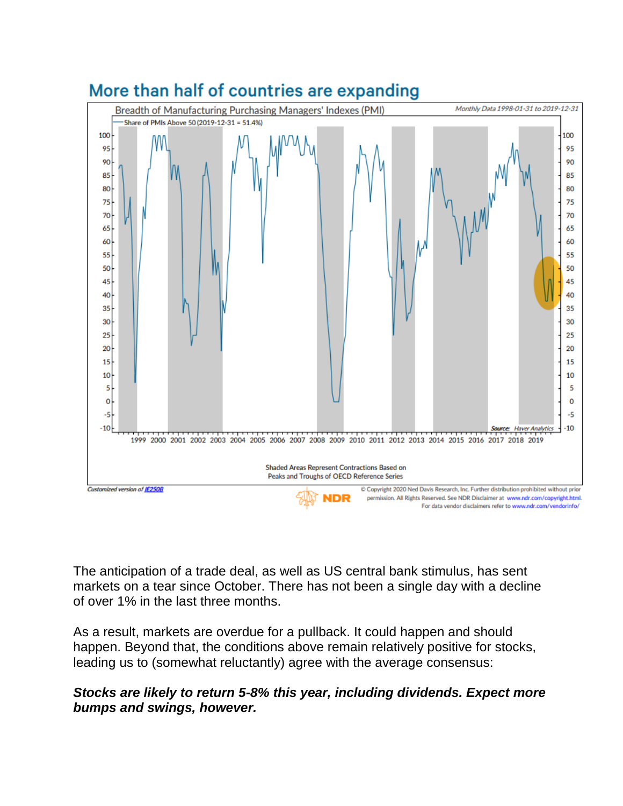

The anticipation of a trade deal, as well as US central bank stimulus, has sent markets on a tear since October. There has not been a single day with a decline of over 1% in the last three months.

As a result, markets are overdue for a pullback. It could happen and should happen. Beyond that, the conditions above remain relatively positive for stocks, leading us to (somewhat reluctantly) agree with the average consensus:

## *Stocks are likely to return 5-8% this year, including dividends. Expect more bumps and swings, however.*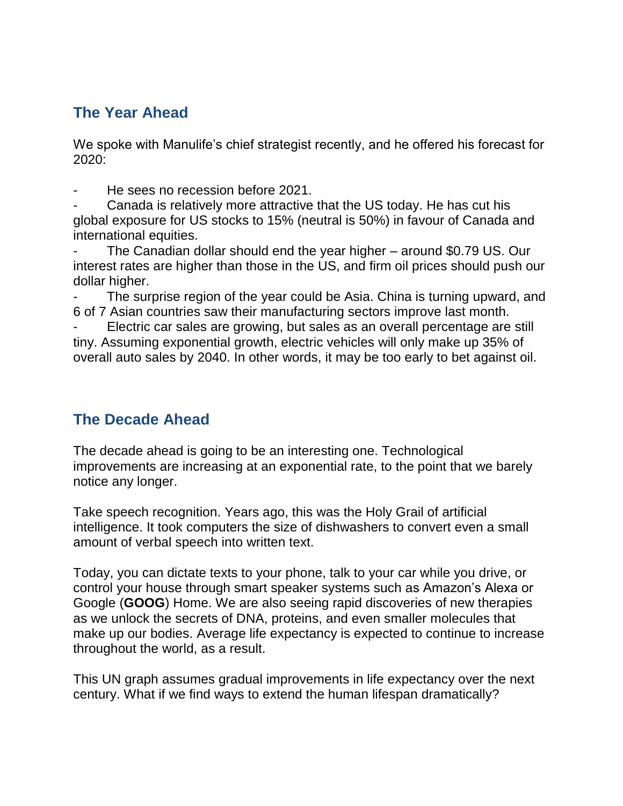# **The Year Ahead**

We spoke with Manulife's chief strategist recently, and he offered his forecast for 2020:

He sees no recession before 2021.

- Canada is relatively more attractive that the US today. He has cut his global exposure for US stocks to 15% (neutral is 50%) in favour of Canada and international equities.

The Canadian dollar should end the year higher – around \$0.79 US. Our interest rates are higher than those in the US, and firm oil prices should push our dollar higher.

The surprise region of the year could be Asia. China is turning upward, and 6 of 7 Asian countries saw their manufacturing sectors improve last month.

Electric car sales are growing, but sales as an overall percentage are still tiny. Assuming exponential growth, electric vehicles will only make up 35% of overall auto sales by 2040. In other words, it may be too early to bet against oil.

# **The Decade Ahead**

The decade ahead is going to be an interesting one. Technological improvements are increasing at an exponential rate, to the point that we barely notice any longer.

Take speech recognition. Years ago, this was the Holy Grail of artificial intelligence. It took computers the size of dishwashers to convert even a small amount of verbal speech into written text.

Today, you can dictate texts to your phone, talk to your car while you drive, or control your house through smart speaker systems such as Amazon's Alexa or Google (**GOOG**) Home. We are also seeing rapid discoveries of new therapies as we unlock the secrets of DNA, proteins, and even smaller molecules that make up our bodies. Average life expectancy is expected to continue to increase throughout the world, as a result.

This UN graph assumes gradual improvements in life expectancy over the next century. What if we find ways to extend the human lifespan dramatically?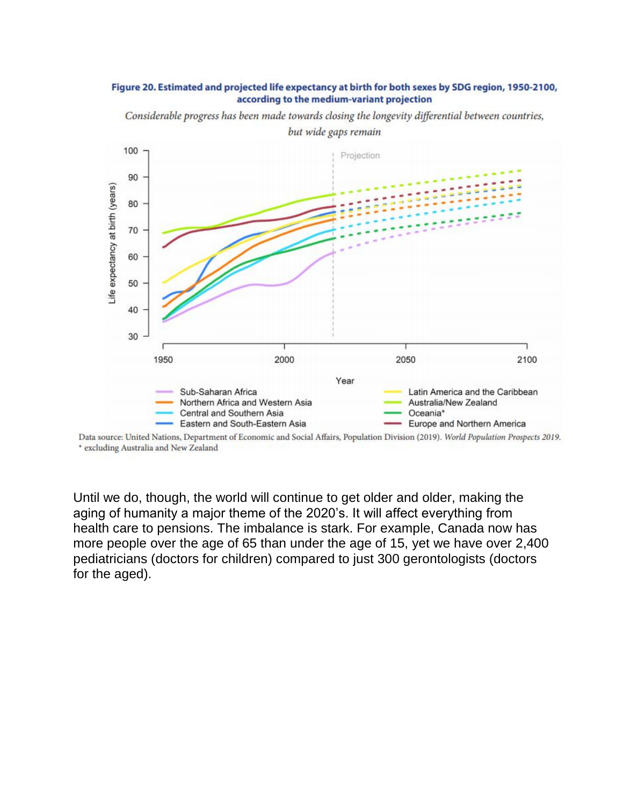#### Figure 20. Estimated and projected life expectancy at birth for both sexes by SDG region, 1950-2100, according to the medium-variant projection

100 Projection 90 Life expectancy at birth (years) 80 70 60 50 40 30 1950 2000 2050 2100 Year Latin America and the Caribbean Sub-Saharan Africa Northern Africa and Western Asia Australia/New Zealand Central and Southern Asia Oceania\* Eastern and South-Eastern Asia Europe and Northern America

Considerable progress has been made towards closing the longevity differential between countries,

Data source: United Nations, Department of Economic and Social Affairs, Population Division (2019). World Population Prospects 2019. \* excluding Australia and New Zealand

Until we do, though, the world will continue to get older and older, making the aging of humanity a major theme of the 2020's. It will affect everything from health care to pensions. The imbalance is stark. For example, Canada now has more people over the age of 65 than under the age of 15, yet we have over 2,400 pediatricians (doctors for children) compared to just 300 gerontologists (doctors for the aged).

but wide gaps remain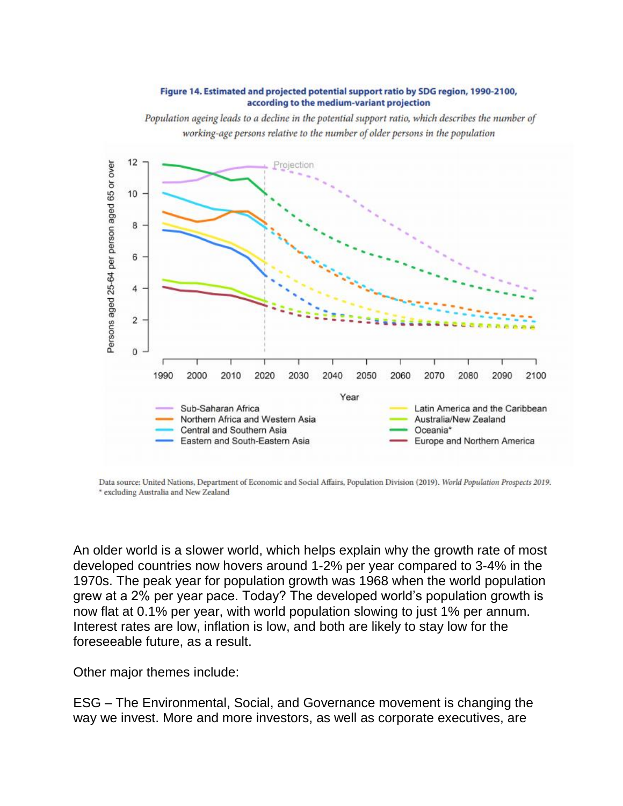#### Figure 14. Estimated and projected potential support ratio by SDG region, 1990-2100, according to the medium-variant projection

Population ageing leads to a decline in the potential support ratio, which describes the number of working-age persons relative to the number of older persons in the population



Data source: United Nations, Department of Economic and Social Affairs, Population Division (2019). World Population Prospects 2019. \* excluding Australia and New Zealand

An older world is a slower world, which helps explain why the growth rate of most developed countries now hovers around 1-2% per year compared to 3-4% in the 1970s. The peak year for population growth was 1968 when the world population grew at a 2% per year pace. Today? The developed world's population growth is now flat at 0.1% per year, with world population slowing to just 1% per annum. Interest rates are low, inflation is low, and both are likely to stay low for the foreseeable future, as a result.

Other major themes include:

ESG – The Environmental, Social, and Governance movement is changing the way we invest. More and more investors, as well as corporate executives, are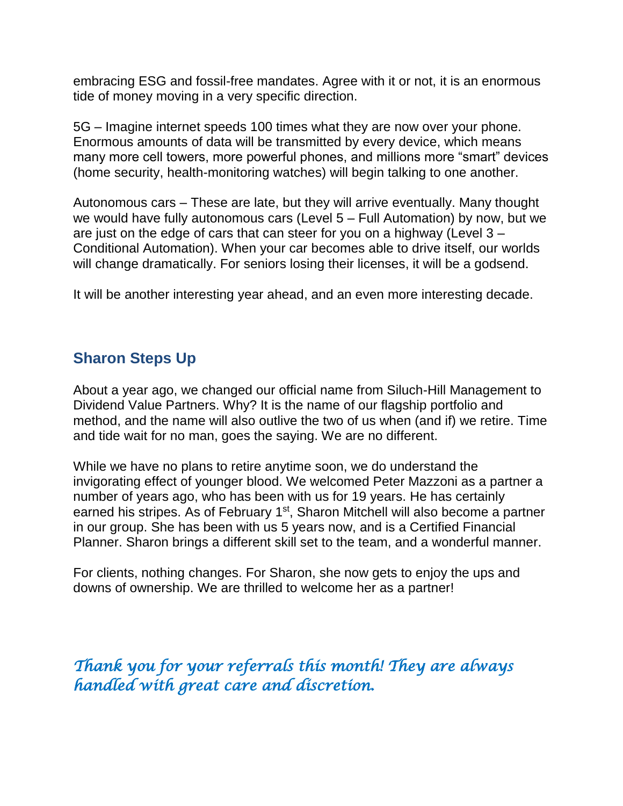embracing ESG and fossil-free mandates. Agree with it or not, it is an enormous tide of money moving in a very specific direction.

5G – Imagine internet speeds 100 times what they are now over your phone. Enormous amounts of data will be transmitted by every device, which means many more cell towers, more powerful phones, and millions more "smart" devices (home security, health-monitoring watches) will begin talking to one another.

Autonomous cars – These are late, but they will arrive eventually. Many thought we would have fully autonomous cars (Level 5 – Full Automation) by now, but we are just on the edge of cars that can steer for you on a highway (Level 3 – Conditional Automation). When your car becomes able to drive itself, our worlds will change dramatically. For seniors losing their licenses, it will be a godsend.

It will be another interesting year ahead, and an even more interesting decade.

# **Sharon Steps Up**

About a year ago, we changed our official name from Siluch-Hill Management to Dividend Value Partners. Why? It is the name of our flagship portfolio and method, and the name will also outlive the two of us when (and if) we retire. Time and tide wait for no man, goes the saying. We are no different.

While we have no plans to retire anytime soon, we do understand the invigorating effect of younger blood. We welcomed Peter Mazzoni as a partner a number of years ago, who has been with us for 19 years. He has certainly earned his stripes. As of February 1<sup>st</sup>, Sharon Mitchell will also become a partner in our group. She has been with us 5 years now, and is a Certified Financial Planner. Sharon brings a different skill set to the team, and a wonderful manner.

For clients, nothing changes. For Sharon, she now gets to enjoy the ups and downs of ownership. We are thrilled to welcome her as a partner!

*Thank you for your referrals this month! They are always handled with great care and discretion.*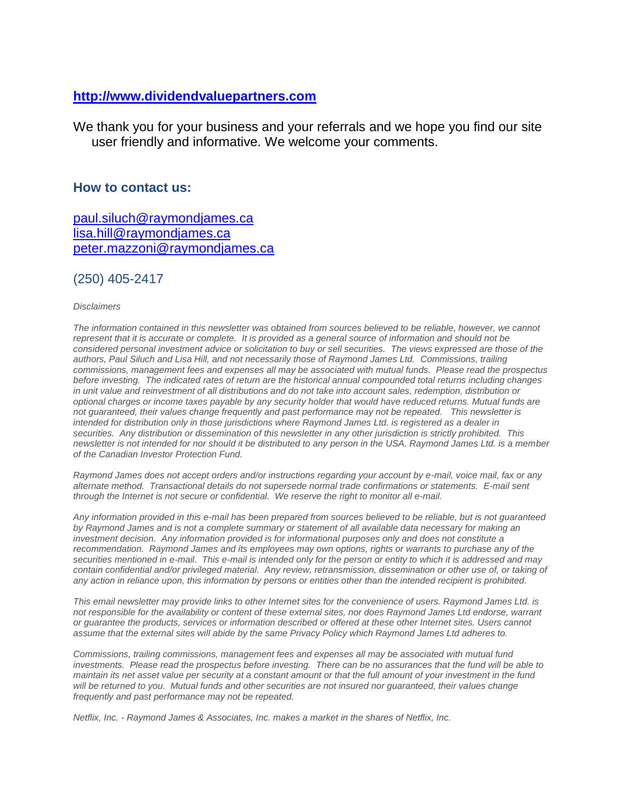#### **[http://www.dividendvaluepartners.com](https://urldefense.proofpoint.com/v2/url?u=http-3A__www.dividendvaluepartners.com&d=DwMFAw&c=K3dQCUGiI1B95NJ6cl3GoyhMW2dvBOfimZA-83UXll0&r=_6MBBSGYsFznIBwslhTiqBKEz4pHUCTd_9tbh_EpUMY&m=scBAtuMDuWZwK1IVr5YXjdB6aRS-faGHAMq3jOn6sJU&s=enZqe4ZgcjH_33x5dT-vZq9A37d4AhNkXvjc6AbmYww&e=)**

We thank you for your business and your referrals and we hope you find our site user friendly and informative. We welcome your comments.

#### **How to contact us:**

[paul.siluch@raymondjames.ca](https://owa-kel.raymondjames.ca/owa/redir.aspx?SURL=z0BxOCXDlQ-Aad1f_a9igaARxm5Rd1VXE7UcmD4mZ3IZiacj7DPTCG0AYQBpAGwAdABvADoAcABhAHUAbAAuAHMAaQBsAHUAYwBoAEAAcgBhAHkAbQBvAG4AZABqAGEAbQBlAHMALgBjAGEA&URL=mailto%3apaul.siluch%40raymondjames.ca) [lisa.hill@raymondjames.ca](https://owa-kel.raymondjames.ca/owa/redir.aspx?SURL=glaBgdTdxPMFpiw4eumg-PzZXpo9vJyObrXLs1TKtIAZiacj7DPTCG0AYQBpAGwAdABvADoAbABpAHMAYQAuAGgAaQBsAGwAQAByAGEAeQBtAG8AbgBkAGoAYQBtAGUAcwAuAGMAYQA.&URL=mailto%3alisa.hill%40raymondjames.ca) [peter.mazzoni@raymondjames.ca](https://owa-kel.raymondjames.ca/owa/redir.aspx?SURL=3c7mDL9-cZxYXt7CvkOu20QVFy1WCaDQxUZ3BQE6vecZiacj7DPTCG0AYQBpAGwAdABvADoAcABlAHQAZQByAC4AbQBhAHoAegBvAG4AaQBAAHIAYQB5AG0AbwBuAGQAagBhAG0AZQBzAC4AYwBhAA..&URL=mailto%3apeter.mazzoni%40raymondjames.ca)

#### (250) 405-2417

#### *Disclaimers*

*[The information contained in this newsletter was obtained from sources believed to be](https://owa-kel.raymondjames.ca/owa/redir.aspx?SURL=z0BxOCXDlQ-Aad1f_a9igaARxm5Rd1VXE7UcmD4mZ3IZiacj7DPTCG0AYQBpAGwAdABvADoAcABhAHUAbAAuAHMAaQBsAHUAYwBoAEAAcgBhAHkAbQBvAG4AZABqAGEAbQBlAHMALgBjAGEA&URL=mailto%3apaul.siluch%40raymondjames.ca) reliable, however, we cannot represent that it is accurate or complete. [It is provided as a general source of information and should not be](https://owa-kel.raymondjames.ca/owa/redir.aspx?SURL=z0BxOCXDlQ-Aad1f_a9igaARxm5Rd1VXE7UcmD4mZ3IZiacj7DPTCG0AYQBpAGwAdABvADoAcABhAHUAbAAuAHMAaQBsAHUAYwBoAEAAcgBhAHkAbQBvAG4AZABqAGEAbQBlAHMALgBjAGEA&URL=mailto%3apaul.siluch%40raymondjames.ca)  [considered personal investment advice or solicitation to buy or sell securities.](https://owa-kel.raymondjames.ca/owa/redir.aspx?SURL=z0BxOCXDlQ-Aad1f_a9igaARxm5Rd1VXE7UcmD4mZ3IZiacj7DPTCG0AYQBpAGwAdABvADoAcABhAHUAbAAuAHMAaQBsAHUAYwBoAEAAcgBhAHkAbQBvAG4AZABqAGEAbQBlAHMALgBjAGEA&URL=mailto%3apaul.siluch%40raymondjames.ca) The views expressed are those of the [authors, Paul Siluch and Lisa Hill, and not necessarily those of Raymond James Ltd.](https://owa-kel.raymondjames.ca/owa/redir.aspx?SURL=z0BxOCXDlQ-Aad1f_a9igaARxm5Rd1VXE7UcmD4mZ3IZiacj7DPTCG0AYQBpAGwAdABvADoAcABhAHUAbAAuAHMAaQBsAHUAYwBoAEAAcgBhAHkAbQBvAG4AZABqAGEAbQBlAHMALgBjAGEA&URL=mailto%3apaul.siluch%40raymondjames.ca) Commissions, trailing [commissions, management fees and expenses all may be associated with mutual funds.](https://owa-kel.raymondjames.ca/owa/redir.aspx?SURL=z0BxOCXDlQ-Aad1f_a9igaARxm5Rd1VXE7UcmD4mZ3IZiacj7DPTCG0AYQBpAGwAdABvADoAcABhAHUAbAAuAHMAaQBsAHUAYwBoAEAAcgBhAHkAbQBvAG4AZABqAGEAbQBlAHMALgBjAGEA&URL=mailto%3apaul.siluch%40raymondjames.ca) Please read the prospectus before investing. [The indicated rates of return are the historical annual compounded total returns including changes](https://owa-kel.raymondjames.ca/owa/redir.aspx?SURL=z0BxOCXDlQ-Aad1f_a9igaARxm5Rd1VXE7UcmD4mZ3IZiacj7DPTCG0AYQBpAGwAdABvADoAcABhAHUAbAAuAHMAaQBsAHUAYwBoAEAAcgBhAHkAbQBvAG4AZABqAGEAbQBlAHMALgBjAGEA&URL=mailto%3apaul.siluch%40raymondjames.ca)  [in unit value and reinvestment of all distributions and do not take into account sales, redemption, distribution or](https://owa-kel.raymondjames.ca/owa/redir.aspx?SURL=z0BxOCXDlQ-Aad1f_a9igaARxm5Rd1VXE7UcmD4mZ3IZiacj7DPTCG0AYQBpAGwAdABvADoAcABhAHUAbAAuAHMAaQBsAHUAYwBoAEAAcgBhAHkAbQBvAG4AZABqAGEAbQBlAHMALgBjAGEA&URL=mailto%3apaul.siluch%40raymondjames.ca)  [optional charges or income taxes payable by any security holder that would have reduced returns. Mutual funds are](https://owa-kel.raymondjames.ca/owa/redir.aspx?SURL=z0BxOCXDlQ-Aad1f_a9igaARxm5Rd1VXE7UcmD4mZ3IZiacj7DPTCG0AYQBpAGwAdABvADoAcABhAHUAbAAuAHMAaQBsAHUAYwBoAEAAcgBhAHkAbQBvAG4AZABqAGEAbQBlAHMALgBjAGEA&URL=mailto%3apaul.siluch%40raymondjames.ca)  [not guaranteed, their values change frequently and past performance may not be repeated.](https://owa-kel.raymondjames.ca/owa/redir.aspx?SURL=z0BxOCXDlQ-Aad1f_a9igaARxm5Rd1VXE7UcmD4mZ3IZiacj7DPTCG0AYQBpAGwAdABvADoAcABhAHUAbAAuAHMAaQBsAHUAYwBoAEAAcgBhAHkAbQBvAG4AZABqAGEAbQBlAHMALgBjAGEA&URL=mailto%3apaul.siluch%40raymondjames.ca) This newsletter is [intended for distribution only in those jurisdictions where Raymond James Ltd. is registered as a dealer in](https://owa-kel.raymondjames.ca/owa/redir.aspx?SURL=z0BxOCXDlQ-Aad1f_a9igaARxm5Rd1VXE7UcmD4mZ3IZiacj7DPTCG0AYQBpAGwAdABvADoAcABhAHUAbAAuAHMAaQBsAHUAYwBoAEAAcgBhAHkAbQBvAG4AZABqAGEAbQBlAHMALgBjAGEA&URL=mailto%3apaul.siluch%40raymondjames.ca)  securities. [Any distribution or dissemination of this newsletter in any other jurisdiction is strictly prohibited.](https://owa-kel.raymondjames.ca/owa/redir.aspx?SURL=z0BxOCXDlQ-Aad1f_a9igaARxm5Rd1VXE7UcmD4mZ3IZiacj7DPTCG0AYQBpAGwAdABvADoAcABhAHUAbAAuAHMAaQBsAHUAYwBoAEAAcgBhAHkAbQBvAG4AZABqAGEAbQBlAHMALgBjAGEA&URL=mailto%3apaul.siluch%40raymondjames.ca) This [newsletter is not intended for nor should it be distributed to any person in the USA. Raymond James Ltd. is a member](https://owa-kel.raymondjames.ca/owa/redir.aspx?SURL=z0BxOCXDlQ-Aad1f_a9igaARxm5Rd1VXE7UcmD4mZ3IZiacj7DPTCG0AYQBpAGwAdABvADoAcABhAHUAbAAuAHMAaQBsAHUAYwBoAEAAcgBhAHkAbQBvAG4AZABqAGEAbQBlAHMALgBjAGEA&URL=mailto%3apaul.siluch%40raymondjames.ca)  [of the Canadian Investor Protection Fund.](https://owa-kel.raymondjames.ca/owa/redir.aspx?SURL=z0BxOCXDlQ-Aad1f_a9igaARxm5Rd1VXE7UcmD4mZ3IZiacj7DPTCG0AYQBpAGwAdABvADoAcABhAHUAbAAuAHMAaQBsAHUAYwBoAEAAcgBhAHkAbQBvAG4AZABqAGEAbQBlAHMALgBjAGEA&URL=mailto%3apaul.siluch%40raymondjames.ca)* 

*Raymond James [does not accept orders and/or instructions regarding your account by e-mail, voice mail, fax or any](https://owa-kel.raymondjames.ca/owa/redir.aspx?SURL=z0BxOCXDlQ-Aad1f_a9igaARxm5Rd1VXE7UcmD4mZ3IZiacj7DPTCG0AYQBpAGwAdABvADoAcABhAHUAbAAuAHMAaQBsAHUAYwBoAEAAcgBhAHkAbQBvAG4AZABqAGEAbQBlAHMALgBjAGEA&URL=mailto%3apaul.siluch%40raymondjames.ca)  alternate method. [Transactional details do not supersede normal trade confirmations or statements.](https://owa-kel.raymondjames.ca/owa/redir.aspx?SURL=z0BxOCXDlQ-Aad1f_a9igaARxm5Rd1VXE7UcmD4mZ3IZiacj7DPTCG0AYQBpAGwAdABvADoAcABhAHUAbAAuAHMAaQBsAHUAYwBoAEAAcgBhAHkAbQBvAG4AZABqAGEAbQBlAHMALgBjAGEA&URL=mailto%3apaul.siluch%40raymondjames.ca) E-mail sent [through the Internet is not secure or confidential.](https://owa-kel.raymondjames.ca/owa/redir.aspx?SURL=z0BxOCXDlQ-Aad1f_a9igaARxm5Rd1VXE7UcmD4mZ3IZiacj7DPTCG0AYQBpAGwAdABvADoAcABhAHUAbAAuAHMAaQBsAHUAYwBoAEAAcgBhAHkAbQBvAG4AZABqAGEAbQBlAHMALgBjAGEA&URL=mailto%3apaul.siluch%40raymondjames.ca) We reserve the right to monitor all e-mail.*

*[Any information provided in this e-mail has been prepared from sources believed to be reliable, but is not guaranteed](https://owa-kel.raymondjames.ca/owa/redir.aspx?SURL=z0BxOCXDlQ-Aad1f_a9igaARxm5Rd1VXE7UcmD4mZ3IZiacj7DPTCG0AYQBpAGwAdABvADoAcABhAHUAbAAuAHMAaQBsAHUAYwBoAEAAcgBhAHkAbQBvAG4AZABqAGEAbQBlAHMALgBjAGEA&URL=mailto%3apaul.siluch%40raymondjames.ca)  by Raymond James [and is not a complete summary or statement of all available data necessary for making an](https://owa-kel.raymondjames.ca/owa/redir.aspx?SURL=z0BxOCXDlQ-Aad1f_a9igaARxm5Rd1VXE7UcmD4mZ3IZiacj7DPTCG0AYQBpAGwAdABvADoAcABhAHUAbAAuAHMAaQBsAHUAYwBoAEAAcgBhAHkAbQBvAG4AZABqAGEAbQBlAHMALgBjAGEA&URL=mailto%3apaul.siluch%40raymondjames.ca)  investment decision. [Any information provided is for informational purposes only and does not constitute a](https://owa-kel.raymondjames.ca/owa/redir.aspx?SURL=z0BxOCXDlQ-Aad1f_a9igaARxm5Rd1VXE7UcmD4mZ3IZiacj7DPTCG0AYQBpAGwAdABvADoAcABhAHUAbAAuAHMAaQBsAHUAYwBoAEAAcgBhAHkAbQBvAG4AZABqAGEAbQBlAHMALgBjAGEA&URL=mailto%3apaul.siluch%40raymondjames.ca)  recommendation. Raymond James [and its employees may own options, rights or warrants to purchase any of the](https://owa-kel.raymondjames.ca/owa/redir.aspx?SURL=z0BxOCXDlQ-Aad1f_a9igaARxm5Rd1VXE7UcmD4mZ3IZiacj7DPTCG0AYQBpAGwAdABvADoAcABhAHUAbAAuAHMAaQBsAHUAYwBoAEAAcgBhAHkAbQBvAG4AZABqAGEAbQBlAHMALgBjAGEA&URL=mailto%3apaul.siluch%40raymondjames.ca)  securities mentioned in e-mail. [This e-mail is intended only for the person or entity to which it is addressed and may](https://owa-kel.raymondjames.ca/owa/redir.aspx?SURL=z0BxOCXDlQ-Aad1f_a9igaARxm5Rd1VXE7UcmD4mZ3IZiacj7DPTCG0AYQBpAGwAdABvADoAcABhAHUAbAAuAHMAaQBsAHUAYwBoAEAAcgBhAHkAbQBvAG4AZABqAGEAbQBlAHMALgBjAGEA&URL=mailto%3apaul.siluch%40raymondjames.ca)  contain confidential and/or privileged material. [Any review, retransmission, dissemination or other use of, or taking of](https://owa-kel.raymondjames.ca/owa/redir.aspx?SURL=z0BxOCXDlQ-Aad1f_a9igaARxm5Rd1VXE7UcmD4mZ3IZiacj7DPTCG0AYQBpAGwAdABvADoAcABhAHUAbAAuAHMAaQBsAHUAYwBoAEAAcgBhAHkAbQBvAG4AZABqAGEAbQBlAHMALgBjAGEA&URL=mailto%3apaul.siluch%40raymondjames.ca)  [any action in reliance upon, this information by persons or entities other than the intended recipient is prohibited.](https://owa-kel.raymondjames.ca/owa/redir.aspx?SURL=z0BxOCXDlQ-Aad1f_a9igaARxm5Rd1VXE7UcmD4mZ3IZiacj7DPTCG0AYQBpAGwAdABvADoAcABhAHUAbAAuAHMAaQBsAHUAYwBoAEAAcgBhAHkAbQBvAG4AZABqAGEAbQBlAHMALgBjAGEA&URL=mailto%3apaul.siluch%40raymondjames.ca)*

*This email newsletter may provide links to other Internet sites for the convenience of users. Raymond James Ltd. is not responsible for the availability or content of these external sites, nor does Raymond James Ltd endorse, warrant or guarantee the products, services or information described or offered at these other Internet sites. Users cannot assume that the external sites will abide by the same Privacy Policy which Raymond James Ltd adheres to.*

*Commissions, trailing commissions, management fees and expenses all may be associated with mutual fund investments. Please read the prospectus before investing. There can be no assurances that the fund will be able to maintain its net asset value per security at a constant amount or that the full amount of your investment in the fund will be returned to you. Mutual funds and other securities are not insured nor guaranteed, their values change frequently and past performance may not be repeated.*

*Netflix, Inc. - Raymond James & Associates, Inc. makes a market in the shares of Netflix, Inc.*